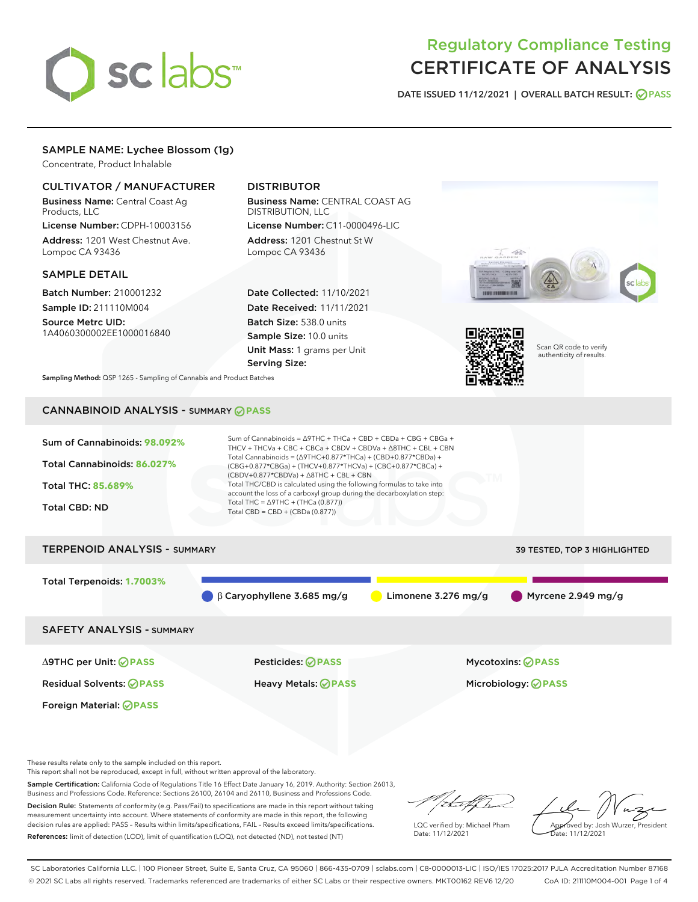

# Regulatory Compliance Testing CERTIFICATE OF ANALYSIS

DATE ISSUED 11/12/2021 | OVERALL BATCH RESULT: @ PASS

# SAMPLE NAME: Lychee Blossom (1g)

Concentrate, Product Inhalable

## CULTIVATOR / MANUFACTURER

Business Name: Central Coast Ag Products, LLC

License Number: CDPH-10003156 Address: 1201 West Chestnut Ave. Lompoc CA 93436

#### SAMPLE DETAIL

Batch Number: 210001232 Sample ID: 211110M004

Source Metrc UID: 1A4060300002EE1000016840

# DISTRIBUTOR

Business Name: CENTRAL COAST AG DISTRIBUTION, LLC License Number: C11-0000496-LIC

Address: 1201 Chestnut St W Lompoc CA 93436

Date Collected: 11/10/2021 Date Received: 11/11/2021 Batch Size: 538.0 units Sample Size: 10.0 units Unit Mass: 1 grams per Unit Serving Size:





Scan QR code to verify authenticity of results.

Sampling Method: QSP 1265 - Sampling of Cannabis and Product Batches

# CANNABINOID ANALYSIS - SUMMARY **PASS**



Foreign Material: **PASS**

Residual Solvents: **PASS** Heavy Metals: **PASS** Microbiology: **PASS**

∆9THC per Unit: **PASS** Pesticides: **PASS** Mycotoxins: **PASS**

These results relate only to the sample included on this report.

This report shall not be reproduced, except in full, without written approval of the laboratory.

Sample Certification: California Code of Regulations Title 16 Effect Date January 16, 2019. Authority: Section 26013, Business and Professions Code. Reference: Sections 26100, 26104 and 26110, Business and Professions Code. Decision Rule: Statements of conformity (e.g. Pass/Fail) to specifications are made in this report without taking

measurement uncertainty into account. Where statements of conformity are made in this report, the following decision rules are applied: PASS – Results within limits/specifications, FAIL – Results exceed limits/specifications. References: limit of detection (LOD), limit of quantification (LOQ), not detected (ND), not tested (NT)

that f h

LQC verified by: Michael Pham Date: 11/12/2021

Approved by: Josh Wurzer, President ate: 11/12/2021

SC Laboratories California LLC. | 100 Pioneer Street, Suite E, Santa Cruz, CA 95060 | 866-435-0709 | sclabs.com | C8-0000013-LIC | ISO/IES 17025:2017 PJLA Accreditation Number 87168 © 2021 SC Labs all rights reserved. Trademarks referenced are trademarks of either SC Labs or their respective owners. MKT00162 REV6 12/20 CoA ID: 211110M004-001 Page 1 of 4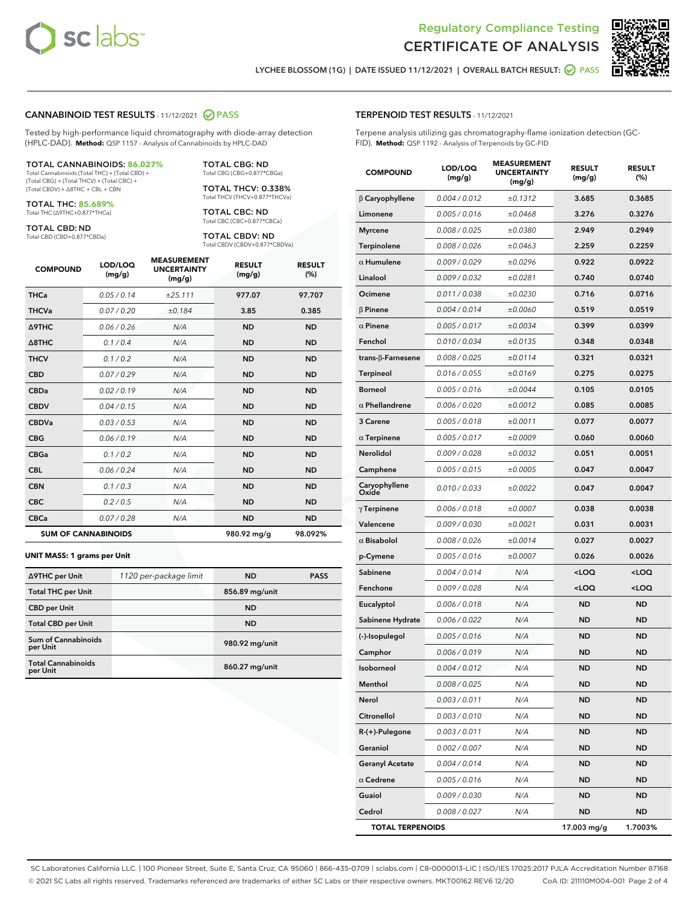



LYCHEE BLOSSOM (1G) | DATE ISSUED 11/12/2021 | OVERALL BATCH RESULT: **○** PASS

#### CANNABINOID TEST RESULTS - 11/12/2021 2 PASS

Tested by high-performance liquid chromatography with diode-array detection (HPLC-DAD). **Method:** QSP 1157 - Analysis of Cannabinoids by HPLC-DAD

#### TOTAL CANNABINOIDS: **86.027%**

Total Cannabinoids (Total THC) + (Total CBD) + (Total CBG) + (Total THCV) + (Total CBC) + (Total CBDV) + ∆8THC + CBL + CBN

TOTAL THC: **85.689%** Total THC (∆9THC+0.877\*THCa)

TOTAL CBD: ND

Total CBD (CBD+0.877\*CBDa)

TOTAL CBG: ND Total CBG (CBG+0.877\*CBGa)

TOTAL THCV: 0.338% Total THCV (THCV+0.877\*THCVa)

TOTAL CBC: ND Total CBC (CBC+0.877\*CBCa)

TOTAL CBDV: ND Total CBDV (CBDV+0.877\*CBDVa)

| <b>COMPOUND</b>            | LOD/LOQ<br>(mg/g) | <b>MEASUREMENT</b><br><b>UNCERTAINTY</b><br>(mg/g) | <b>RESULT</b><br>(mg/g) | <b>RESULT</b><br>(%) |
|----------------------------|-------------------|----------------------------------------------------|-------------------------|----------------------|
| <b>THCa</b>                | 0.05/0.14         | ±25.111                                            | 977.07                  | 97.707               |
| <b>THCVa</b>               | 0.07 / 0.20       | ±0.184                                             | 3.85                    | 0.385                |
| <b>A9THC</b>               | 0.06 / 0.26       | N/A                                                | <b>ND</b>               | <b>ND</b>            |
| $\triangle$ 8THC           | 0.1/0.4           | N/A                                                | <b>ND</b>               | <b>ND</b>            |
| <b>THCV</b>                | 0.1/0.2           | N/A                                                | <b>ND</b>               | <b>ND</b>            |
| <b>CBD</b>                 | 0.07/0.29         | N/A                                                | <b>ND</b>               | <b>ND</b>            |
| <b>CBDa</b>                | 0.02/0.19         | N/A                                                | <b>ND</b>               | <b>ND</b>            |
| <b>CBDV</b>                | 0.04 / 0.15       | N/A                                                | <b>ND</b>               | <b>ND</b>            |
| <b>CBDVa</b>               | 0.03 / 0.53       | N/A                                                | <b>ND</b>               | <b>ND</b>            |
| <b>CBG</b>                 | 0.06/0.19         | N/A                                                | <b>ND</b>               | <b>ND</b>            |
| <b>CBGa</b>                | 0.1/0.2           | N/A                                                | <b>ND</b>               | <b>ND</b>            |
| <b>CBL</b>                 | 0.06 / 0.24       | N/A                                                | <b>ND</b>               | <b>ND</b>            |
| <b>CBN</b>                 | 0.1/0.3           | N/A                                                | <b>ND</b>               | <b>ND</b>            |
| <b>CBC</b>                 | 0.2 / 0.5         | N/A                                                | <b>ND</b>               | <b>ND</b>            |
| <b>CBCa</b>                | 0.07/0.28         | N/A                                                | <b>ND</b>               | <b>ND</b>            |
| <b>SUM OF CANNABINOIDS</b> |                   |                                                    | 980.92 mg/g             | 98.092%              |

#### **UNIT MASS: 1 grams per Unit**

| ∆9THC per Unit                        | 1120 per-package limit | <b>ND</b>      | <b>PASS</b> |
|---------------------------------------|------------------------|----------------|-------------|
| <b>Total THC per Unit</b>             |                        | 856.89 mg/unit |             |
| <b>CBD</b> per Unit                   |                        | <b>ND</b>      |             |
| <b>Total CBD per Unit</b>             |                        | <b>ND</b>      |             |
| Sum of Cannabinoids<br>per Unit       |                        | 980.92 mg/unit |             |
| <b>Total Cannabinoids</b><br>per Unit |                        | 860.27 mg/unit |             |

# TERPENOID TEST RESULTS - 11/12/2021

Terpene analysis utilizing gas chromatography-flame ionization detection (GC-FID). **Method:** QSP 1192 - Analysis of Terpenoids by GC-FID

| <b>COMPOUND</b>           | LOD/LOQ<br>(mg/g) | <b>MEASUREMENT</b><br><b>UNCERTAINTY</b><br>(mg/g) | <b>RESULT</b><br>(mg/g)                          | <b>RESULT</b><br>$(\%)$ |
|---------------------------|-------------------|----------------------------------------------------|--------------------------------------------------|-------------------------|
| $\beta$ Caryophyllene     | 0.004 / 0.012     | ±0.1312                                            | 3.685                                            | 0.3685                  |
| Limonene                  | 0.005 / 0.016     | ±0.0468                                            | 3.276                                            | 0.3276                  |
| <b>Myrcene</b>            | 0.008 / 0.025     | ±0.0380                                            | 2.949                                            | 0.2949                  |
| Terpinolene               | 0.008 / 0.026     | ±0.0463                                            | 2.259                                            | 0.2259                  |
| $\alpha$ Humulene         | 0.009 / 0.029     | ±0.0296                                            | 0.922                                            | 0.0922                  |
| Linalool                  | 0.009 / 0.032     | ±0.0281                                            | 0.740                                            | 0.0740                  |
| Ocimene                   | 0.011 / 0.038     | ±0.0230                                            | 0.716                                            | 0.0716                  |
| <b>B</b> Pinene           | 0.004 / 0.014     | ±0.0060                                            | 0.519                                            | 0.0519                  |
| $\alpha$ Pinene           | 0.005 / 0.017     | ±0.0034                                            | 0.399                                            | 0.0399                  |
| Fenchol                   | 0.010 / 0.034     | ±0.0135                                            | 0.348                                            | 0.0348                  |
| trans- $\beta$ -Farnesene | 0.008 / 0.025     | ±0.0114                                            | 0.321                                            | 0.0321                  |
| Terpineol                 | 0.016 / 0.055     | ±0.0169                                            | 0.275                                            | 0.0275                  |
| <b>Borneol</b>            | 0.005 / 0.016     | ±0.0044                                            | 0.105                                            | 0.0105                  |
| $\alpha$ Phellandrene     | 0.006 / 0.020     | ±0.0012                                            | 0.085                                            | 0.0085                  |
| 3 Carene                  | 0.005 / 0.018     | ±0.0011                                            | 0.077                                            | 0.0077                  |
| $\alpha$ Terpinene        | 0.005 / 0.017     | ±0.0009                                            | 0.060                                            | 0.0060                  |
| <b>Nerolidol</b>          | 0.009 / 0.028     | ±0.0032                                            | 0.051                                            | 0.0051                  |
| Camphene                  | 0.005 / 0.015     | ±0.0005                                            | 0.047                                            | 0.0047                  |
| Caryophyllene<br>Oxide    | 0.010 / 0.033     | ±0.0022                                            | 0.047                                            | 0.0047                  |
| $\gamma$ Terpinene        | 0.006 / 0.018     | ±0.0007                                            | 0.038                                            | 0.0038                  |
| Valencene                 | 0.009 / 0.030     | ±0.0021                                            | 0.031                                            | 0.0031                  |
| $\alpha$ Bisabolol        | 0.008 / 0.026     | ±0.0014                                            | 0.027                                            | 0.0027                  |
| p-Cymene                  | 0.005 / 0.016     | ±0.0007                                            | 0.026                                            | 0.0026                  |
| Sabinene                  | 0.004 / 0.014     | N/A                                                | <loq< th=""><th><math>&lt;</math>LOQ</th></loq<> | $<$ LOQ                 |
| Fenchone                  | 0.009 / 0.028     | N/A                                                | <loq< th=""><th><loq< th=""></loq<></th></loq<>  | <loq< th=""></loq<>     |
| Eucalyptol                | 0.006 / 0.018     | N/A                                                | ND                                               | ND                      |
| Sabinene Hydrate          | 0.006 / 0.022     | N/A                                                | ND                                               | <b>ND</b>               |
| (-)-Isopulegol            | 0.005 / 0.016     | N/A                                                | <b>ND</b>                                        | <b>ND</b>               |
| Camphor                   | 0.006 / 0.019     | N/A                                                | ND                                               | ND                      |
| Isoborneol                | 0.004 / 0.012     | N/A                                                | ND                                               | ND                      |
| Menthol                   | 0.008 / 0.025     | N/A                                                | ND                                               | ND                      |
| Nerol                     | 0.003 / 0.011     | N/A                                                | ND                                               | ND                      |
| Citronellol               | 0.003 / 0.010     | N/A                                                | ND                                               | <b>ND</b>               |
| $R-(+)$ -Pulegone         | 0.003 / 0.011     | N/A                                                | ND                                               | <b>ND</b>               |
| Geraniol                  | 0.002 / 0.007     | N/A                                                | ND                                               | ND                      |
| <b>Geranyl Acetate</b>    | 0.004 / 0.014     | N/A                                                | ND                                               | ND                      |
| $\alpha$ Cedrene          | 0.005 / 0.016     | N/A                                                | <b>ND</b>                                        | <b>ND</b>               |
| Guaiol                    | 0.009 / 0.030     | N/A                                                | ND                                               | ND                      |
| Cedrol                    | 0.008 / 0.027     | N/A                                                | <b>ND</b>                                        | ND                      |
| <b>TOTAL TERPENOIDS</b>   |                   |                                                    | 17.003 mg/g                                      | 1.7003%                 |

SC Laboratories California LLC. | 100 Pioneer Street, Suite E, Santa Cruz, CA 95060 | 866-435-0709 | sclabs.com | C8-0000013-LIC | ISO/IES 17025:2017 PJLA Accreditation Number 87168 © 2021 SC Labs all rights reserved. Trademarks referenced are trademarks of either SC Labs or their respective owners. MKT00162 REV6 12/20 CoA ID: 211110M004-001 Page 2 of 4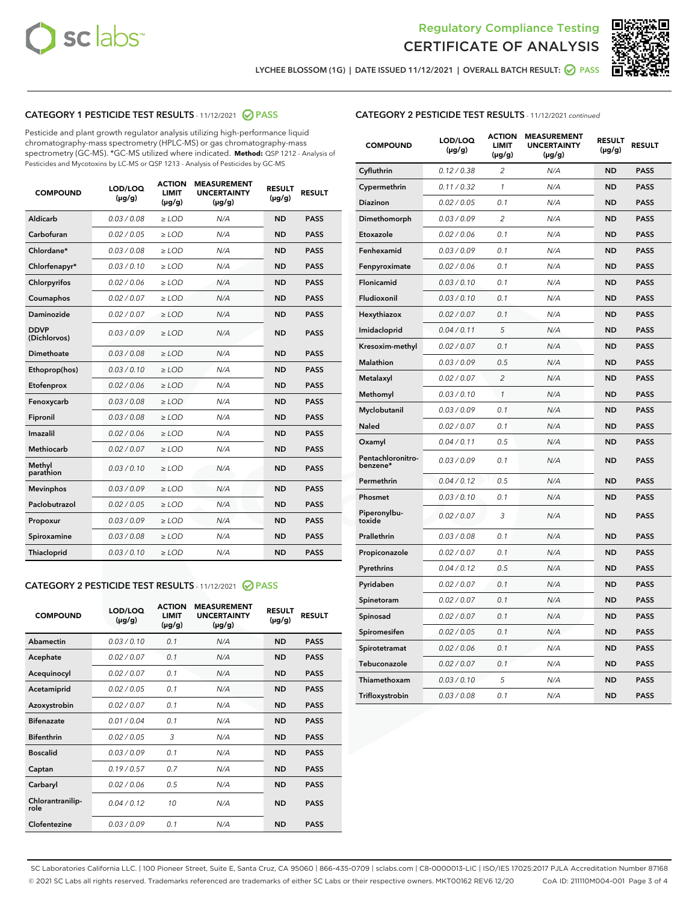



LYCHEE BLOSSOM (1G) | DATE ISSUED 11/12/2021 | OVERALL BATCH RESULT: @ PASS

# CATEGORY 1 PESTICIDE TEST RESULTS - 11/12/2021 2 PASS

Pesticide and plant growth regulator analysis utilizing high-performance liquid chromatography-mass spectrometry (HPLC-MS) or gas chromatography-mass spectrometry (GC-MS). \*GC-MS utilized where indicated. **Method:** QSP 1212 - Analysis of Pesticides and Mycotoxins by LC-MS or QSP 1213 - Analysis of Pesticides by GC-MS

| <b>COMPOUND</b>             | LOD/LOQ<br>$(\mu g/g)$ | <b>ACTION</b><br><b>LIMIT</b><br>$(\mu g/g)$ | <b>MEASUREMENT</b><br><b>UNCERTAINTY</b><br>$(\mu g/g)$ | <b>RESULT</b><br>$(\mu g/g)$ | <b>RESULT</b> |
|-----------------------------|------------------------|----------------------------------------------|---------------------------------------------------------|------------------------------|---------------|
| Aldicarb                    | 0.03 / 0.08            | $\geq$ LOD                                   | N/A                                                     | <b>ND</b>                    | <b>PASS</b>   |
| Carbofuran                  | 0.02/0.05              | $\geq$ LOD                                   | N/A                                                     | <b>ND</b>                    | <b>PASS</b>   |
| Chlordane*                  | 0.03 / 0.08            | $\ge$ LOD                                    | N/A                                                     | <b>ND</b>                    | <b>PASS</b>   |
| Chlorfenapyr*               | 0.03/0.10              | $\ge$ LOD                                    | N/A                                                     | <b>ND</b>                    | <b>PASS</b>   |
| Chlorpyrifos                | 0.02 / 0.06            | $\ge$ LOD                                    | N/A                                                     | <b>ND</b>                    | <b>PASS</b>   |
| Coumaphos                   | 0.02 / 0.07            | $\ge$ LOD                                    | N/A                                                     | <b>ND</b>                    | <b>PASS</b>   |
| Daminozide                  | 0.02 / 0.07            | $\ge$ LOD                                    | N/A                                                     | <b>ND</b>                    | <b>PASS</b>   |
| <b>DDVP</b><br>(Dichlorvos) | 0.03/0.09              | $\ge$ LOD                                    | N/A                                                     | <b>ND</b>                    | <b>PASS</b>   |
| Dimethoate                  | 0.03 / 0.08            | $\ge$ LOD                                    | N/A                                                     | <b>ND</b>                    | <b>PASS</b>   |
| Ethoprop(hos)               | 0.03/0.10              | $\ge$ LOD                                    | N/A                                                     | <b>ND</b>                    | <b>PASS</b>   |
| Etofenprox                  | 0.02/0.06              | $\ge$ LOD                                    | N/A                                                     | <b>ND</b>                    | <b>PASS</b>   |
| Fenoxycarb                  | 0.03/0.08              | $\ge$ LOD                                    | N/A                                                     | <b>ND</b>                    | <b>PASS</b>   |
| Fipronil                    | 0.03/0.08              | $\ge$ LOD                                    | N/A                                                     | <b>ND</b>                    | <b>PASS</b>   |
| Imazalil                    | 0.02 / 0.06            | $\ge$ LOD                                    | N/A                                                     | <b>ND</b>                    | <b>PASS</b>   |
| <b>Methiocarb</b>           | 0.02 / 0.07            | $\ge$ LOD                                    | N/A                                                     | <b>ND</b>                    | <b>PASS</b>   |
| Methyl<br>parathion         | 0.03/0.10              | $\ge$ LOD                                    | N/A                                                     | <b>ND</b>                    | <b>PASS</b>   |
| <b>Mevinphos</b>            | 0.03/0.09              | $\ge$ LOD                                    | N/A                                                     | <b>ND</b>                    | <b>PASS</b>   |
| Paclobutrazol               | 0.02 / 0.05            | $\ge$ LOD                                    | N/A                                                     | <b>ND</b>                    | <b>PASS</b>   |
| Propoxur                    | 0.03/0.09              | $\ge$ LOD                                    | N/A                                                     | <b>ND</b>                    | <b>PASS</b>   |
| Spiroxamine                 | 0.03 / 0.08            | $\ge$ LOD                                    | N/A                                                     | <b>ND</b>                    | <b>PASS</b>   |
| <b>Thiacloprid</b>          | 0.03/0.10              | $\ge$ LOD                                    | N/A                                                     | <b>ND</b>                    | <b>PASS</b>   |
|                             |                        |                                              |                                                         |                              |               |

# CATEGORY 2 PESTICIDE TEST RESULTS - 11/12/2021 @ PASS

| <b>COMPOUND</b>          | LOD/LOO<br>$(\mu g/g)$ | <b>ACTION</b><br>LIMIT<br>$(\mu g/g)$ | <b>MEASUREMENT</b><br><b>UNCERTAINTY</b><br>$(\mu g/g)$ | <b>RESULT</b><br>$(\mu g/g)$ | <b>RESULT</b> |  |
|--------------------------|------------------------|---------------------------------------|---------------------------------------------------------|------------------------------|---------------|--|
| Abamectin                | 0.03/0.10              | 0.1                                   | N/A                                                     | <b>ND</b>                    | <b>PASS</b>   |  |
| Acephate                 | 0.02/0.07              | 0.1                                   | N/A                                                     | <b>ND</b>                    | <b>PASS</b>   |  |
| Acequinocyl              | 0.02/0.07              | 0.1                                   | N/A                                                     | <b>ND</b>                    | <b>PASS</b>   |  |
| Acetamiprid              | 0.02/0.05              | 0.1                                   | N/A                                                     | <b>ND</b>                    | <b>PASS</b>   |  |
| Azoxystrobin             | 0.02/0.07              | 0.1                                   | N/A                                                     | <b>ND</b>                    | <b>PASS</b>   |  |
| <b>Bifenazate</b>        | 0.01/0.04              | 0.1                                   | N/A                                                     | <b>ND</b>                    | <b>PASS</b>   |  |
| <b>Bifenthrin</b>        | 0.02/0.05              | 3                                     | N/A                                                     | <b>ND</b>                    | <b>PASS</b>   |  |
| <b>Boscalid</b>          | 0.03/0.09              | 0.1                                   | N/A                                                     | <b>ND</b>                    | <b>PASS</b>   |  |
| Captan                   | 0.19/0.57              | 0.7                                   | N/A                                                     | <b>ND</b>                    | <b>PASS</b>   |  |
| Carbaryl                 | 0.02/0.06              | 0.5                                   | N/A                                                     | <b>ND</b>                    | <b>PASS</b>   |  |
| Chlorantranilip-<br>role | 0.04/0.12              | 10                                    | N/A                                                     | <b>ND</b>                    | <b>PASS</b>   |  |
| Clofentezine             | 0.03/0.09              | 0.1                                   | N/A                                                     | <b>ND</b>                    | <b>PASS</b>   |  |

| <b>COMPOUND</b>               | LOD/LOQ<br>(µg/g) | <b>ACTION</b><br><b>LIMIT</b><br>$(\mu g/g)$ | <b>MEASUREMENT</b><br><b>UNCERTAINTY</b><br>(µg/g) | <b>RESULT</b><br>(µg/g) | <b>RESULT</b> |
|-------------------------------|-------------------|----------------------------------------------|----------------------------------------------------|-------------------------|---------------|
| Cyfluthrin                    | 0.12 / 0.38       | $\overline{2}$                               | N/A                                                | <b>ND</b>               | <b>PASS</b>   |
| Cypermethrin                  | 0.11 / 0.32       | $\mathbf{1}$                                 | N/A                                                | <b>ND</b>               | <b>PASS</b>   |
| Diazinon                      | 0.02 / 0.05       | 0.1                                          | N/A                                                | <b>ND</b>               | <b>PASS</b>   |
| Dimethomorph                  | 0.03 / 0.09       | 2                                            | N/A                                                | ND                      | <b>PASS</b>   |
| Etoxazole                     | 0.02 / 0.06       | 0.1                                          | N/A                                                | <b>ND</b>               | <b>PASS</b>   |
| Fenhexamid                    | 0.03 / 0.09       | 0.1                                          | N/A                                                | <b>ND</b>               | <b>PASS</b>   |
| Fenpyroximate                 | 0.02 / 0.06       | 0.1                                          | N/A                                                | <b>ND</b>               | <b>PASS</b>   |
| Flonicamid                    | 0.03 / 0.10       | 0.1                                          | N/A                                                | <b>ND</b>               | <b>PASS</b>   |
| Fludioxonil                   | 0.03 / 0.10       | 0.1                                          | N/A                                                | <b>ND</b>               | <b>PASS</b>   |
| Hexythiazox                   | 0.02 / 0.07       | 0.1                                          | N/A                                                | <b>ND</b>               | <b>PASS</b>   |
| Imidacloprid                  | 0.04 / 0.11       | 5                                            | N/A                                                | <b>ND</b>               | <b>PASS</b>   |
| Kresoxim-methyl               | 0.02 / 0.07       | 0.1                                          | N/A                                                | <b>ND</b>               | <b>PASS</b>   |
| <b>Malathion</b>              | 0.03 / 0.09       | 0.5                                          | N/A                                                | <b>ND</b>               | <b>PASS</b>   |
| Metalaxyl                     | 0.02 / 0.07       | $\overline{2}$                               | N/A                                                | <b>ND</b>               | <b>PASS</b>   |
| Methomyl                      | 0.03 / 0.10       | $\mathcal{I}$                                | N/A                                                | <b>ND</b>               | <b>PASS</b>   |
| Myclobutanil                  | 0.03 / 0.09       | 0.1                                          | N/A                                                | <b>ND</b>               | <b>PASS</b>   |
| <b>Naled</b>                  | 0.02 / 0.07       | 0.1                                          | N/A                                                | <b>ND</b>               | <b>PASS</b>   |
| Oxamyl                        | 0.04 / 0.11       | 0.5                                          | N/A                                                | <b>ND</b>               | <b>PASS</b>   |
| Pentachloronitro-<br>benzene* | 0.03 / 0.09       | 0.1                                          | N/A                                                | <b>ND</b>               | <b>PASS</b>   |
| Permethrin                    | 0.04 / 0.12       | 0.5                                          | N/A                                                | <b>ND</b>               | <b>PASS</b>   |
| Phosmet                       | 0.03/0.10         | 0.1                                          | N/A                                                | <b>ND</b>               | <b>PASS</b>   |
| Piperonylbu-<br>toxide        | 0.02 / 0.07       | 3                                            | N/A                                                | <b>ND</b>               | <b>PASS</b>   |
| Prallethrin                   | 0.03 / 0.08       | 0.1                                          | N/A                                                | <b>ND</b>               | <b>PASS</b>   |
| Propiconazole                 | 0.02 / 0.07       | 0.1                                          | N/A                                                | <b>ND</b>               | <b>PASS</b>   |
| Pyrethrins                    | 0.04 / 0.12       | 0.5                                          | N/A                                                | <b>ND</b>               | <b>PASS</b>   |
| Pyridaben                     | 0.02 / 0.07       | 0.1                                          | N/A                                                | <b>ND</b>               | <b>PASS</b>   |
| Spinetoram                    | 0.02 / 0.07       | 0.1                                          | N/A                                                | <b>ND</b>               | <b>PASS</b>   |
| Spinosad                      | 0.02 / 0.07       | 0.1                                          | N/A                                                | <b>ND</b>               | <b>PASS</b>   |
| Spiromesifen                  | 0.02 / 0.05       | 0.1                                          | N/A                                                | <b>ND</b>               | <b>PASS</b>   |
| Spirotetramat                 | 0.02 / 0.06       | 0.1                                          | N/A                                                | ND                      | <b>PASS</b>   |
| Tebuconazole                  | 0.02 / 0.07       | 0.1                                          | N/A                                                | <b>ND</b>               | <b>PASS</b>   |
| Thiamethoxam                  | 0.03 / 0.10       | 5                                            | N/A                                                | <b>ND</b>               | <b>PASS</b>   |
| Trifloxystrobin               | 0.03 / 0.08       | 0.1                                          | N/A                                                | <b>ND</b>               | <b>PASS</b>   |

SC Laboratories California LLC. | 100 Pioneer Street, Suite E, Santa Cruz, CA 95060 | 866-435-0709 | sclabs.com | C8-0000013-LIC | ISO/IES 17025:2017 PJLA Accreditation Number 87168 © 2021 SC Labs all rights reserved. Trademarks referenced are trademarks of either SC Labs or their respective owners. MKT00162 REV6 12/20 CoA ID: 211110M004-001 Page 3 of 4